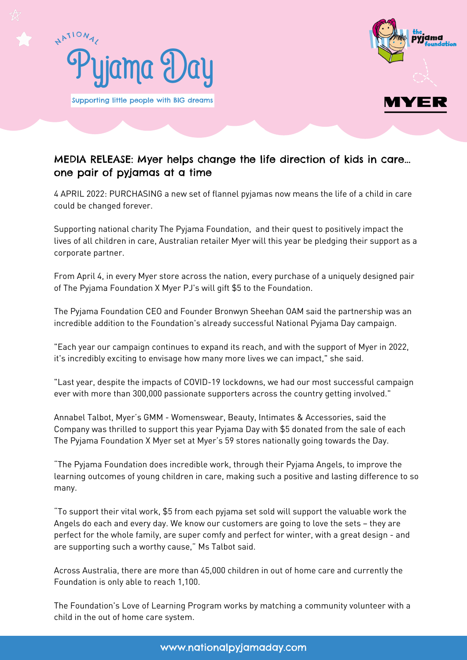



## MEDIA RELEASE: Myer helps change the life direction of kids in care... one pair of pyjamas at a time

4 APRIL 2022: PURCHASING a new set of flannel pyjamas now means the life of a child in care could be changed forever.

Supporting national charity The Pyjama Foundation, and their quest to positively impact the lives of all children in care, Australian retailer Myer will this year be pledging their support as a corporate partner.

From April 4, in every Myer store across the nation, every purchase of a uniquely designed pair of The Pyjama Foundation X Myer PJ's will gift \$5 to the Foundation.

The Pyjama Foundation CEO and Founder Bronwyn Sheehan OAM said the partnership was an incredible addition to the Foundation's already successful National Pyjama Day campaign.

"Each year our campaign continues to expand its reach, and with the support of Myer in 2022, it's incredibly exciting to envisage how many more lives we can impact," she said.

"Last year, despite the impacts of COVID-19 lockdowns, we had our most successful campaign ever with more than 300,000 passionate supporters across the country getting involved."

Annabel Talbot, Myer's GMM - Womenswear, Beauty, Intimates & Accessories, said the Company was thrilled to support this year Pyjama Day with \$5 donated from the sale of each The Pyjama Foundation X Myer set at Myer's 59 stores nationally going towards the Day.

"The Pyjama Foundation does incredible work, through their Pyjama Angels, to improve the learning outcomes of young children in care, making such a positive and lasting difference to so many.

"To support their vital work, \$5 from each pyjama set sold will support the valuable work the Angels do each and every day. We know our customers are going to love the sets – they are perfect for the whole family, are super comfy and perfect for winter, with a great design - and are supporting such a worthy cause," Ms Talbot said.

Across Australia, there are more than 45,000 children in out of home care and currently the Foundation is only able to reach 1,100.

The Foundation's Love of Learning Program works by matching a community volunteer with a child in the out of home care system.

www.nationalpyjamaday.com